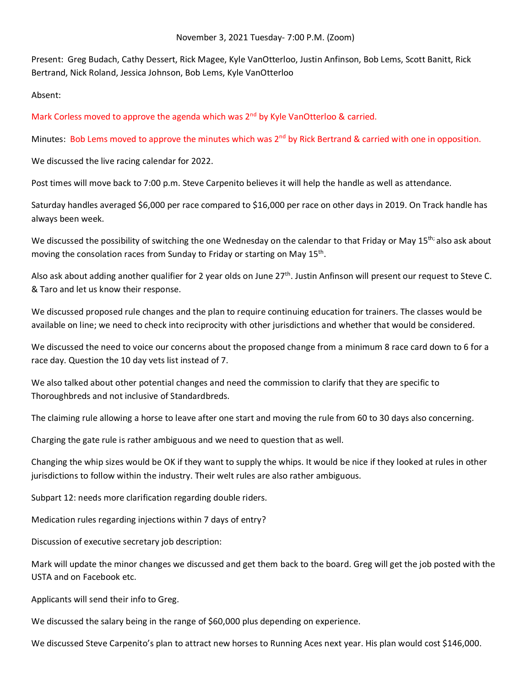Present: Greg Budach, Cathy Dessert, Rick Magee, Kyle VanOtterloo, Justin Anfinson, Bob Lems, Scott Banitt, Rick Bertrand, Nick Roland, Jessica Johnson, Bob Lems, Kyle VanOtterloo

Absent:

Mark Corless moved to approve the agenda which was  $2<sup>nd</sup>$  by Kyle VanOtterloo & carried.

Minutes: Bob Lems moved to approve the minutes which was 2<sup>nd</sup> by Rick Bertrand & carried with one in opposition.

We discussed the live racing calendar for 2022.

Post times will move back to 7:00 p.m. Steve Carpenito believes it will help the handle as well as attendance.

Saturday handles averaged \$6,000 per race compared to \$16,000 per race on other days in 2019. On Track handle has always been week.

We discussed the possibility of switching the one Wednesday on the calendar to that Friday or May 15<sup>th;</sup> also ask about moving the consolation races from Sunday to Friday or starting on May 15<sup>th</sup>.

Also ask about adding another qualifier for 2 year olds on June 27th. Justin Anfinson will present our request to Steve C. & Taro and let us know their response.

We discussed proposed rule changes and the plan to require continuing education for trainers. The classes would be available on line; we need to check into reciprocity with other jurisdictions and whether that would be considered.

We discussed the need to voice our concerns about the proposed change from a minimum 8 race card down to 6 for a race day. Question the 10 day vets list instead of 7.

We also talked about other potential changes and need the commission to clarify that they are specific to Thoroughbreds and not inclusive of Standardbreds.

The claiming rule allowing a horse to leave after one start and moving the rule from 60 to 30 days also concerning.

Charging the gate rule is rather ambiguous and we need to question that as well.

Changing the whip sizes would be OK if they want to supply the whips. It would be nice if they looked at rules in other jurisdictions to follow within the industry. Their welt rules are also rather ambiguous.

Subpart 12: needs more clarification regarding double riders.

Medication rules regarding injections within 7 days of entry?

Discussion of executive secretary job description:

Mark will update the minor changes we discussed and get them back to the board. Greg will get the job posted with the USTA and on Facebook etc.

Applicants will send their info to Greg.

We discussed the salary being in the range of \$60,000 plus depending on experience.

We discussed Steve Carpenito's plan to attract new horses to Running Aces next year. His plan would cost \$146,000.